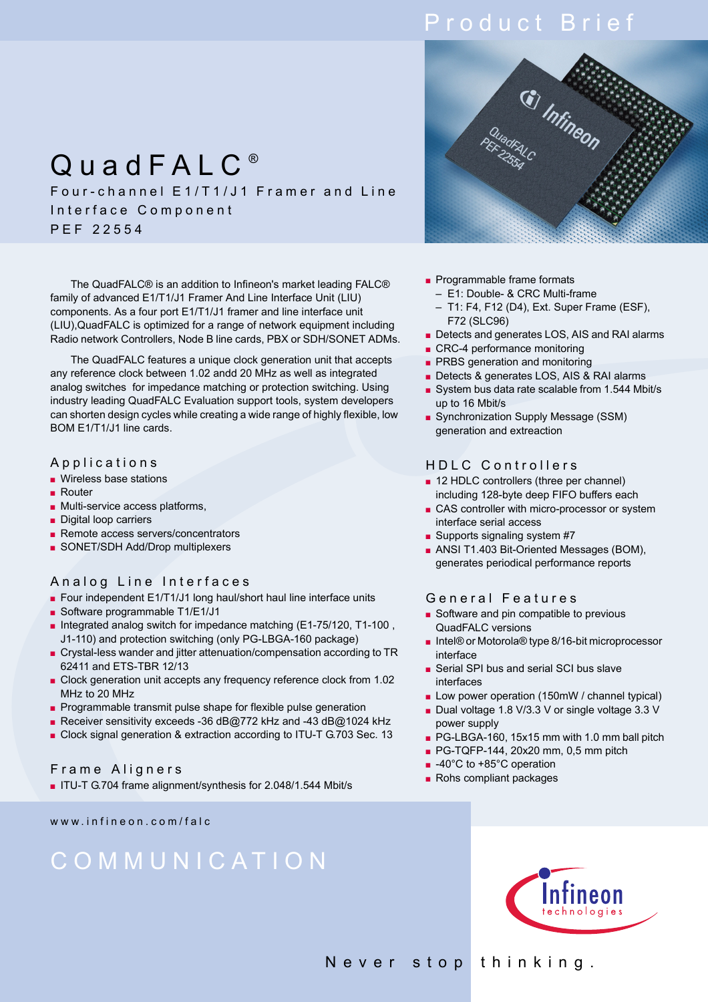# Product Brief

## QuadFALC<sup>®</sup> Four-channel E1/T1/J1 Framer and Line Interface Component PEF 22554

The QuadFALC® is an addition to Infineon's market leading FALC® family of advanced E1/T1/J1 Framer And Line Interface Unit (LIU) components. As a four port E1/T1/J1 framer and line interface unit (LIU),QuadFALC is optimized for a range of network equipment including Radio network Controllers, Node B line cards, PBX or SDH/SONET ADMs.

The QuadFALC features a unique clock generation unit that accepts any reference clock between 1.02 andd 20 MHz as well as integrated analog switches for impedance matching or protection switching. Using industry leading QuadFALC Evaluation support tools, system developers can shorten design cycles while creating a wide range of highly flexible, low BOM E1/T1/J1 line cards.

#### Applications

- Wireless base stations
- Router
- Multi-service access platforms,
- Digital loop carriers
- Remote access servers/concentrators
- SONET/SDH Add/Drop multiplexers

## Analog Line Interfaces

- Four independent E1/T1/J1 long haul/short haul line interface units
- Software programmable T1/E1/J1
- Integrated analog switch for impedance matching (E1-75/120, T1-100, J1-110) and protection switching (only PG-LBGA-160 package)
- Crystal-less wander and jitter attenuation/compensation according to TR 62411 and ETS-TBR 12/13
- Clock generation unit accepts any frequency reference clock from 1.02 MHz to 20 MHz
- Programmable transmit pulse shape for flexible pulse generation
- Receiver sensitivity exceeds -36 dB@772 kHz and -43 dB@1024 kHz
- Clock signal generation & extraction according to ITU-T G.703 Sec. 13

## Frame Aligners

■ ITU-T G.704 frame alignment/synthesis for 2.048/1.544 Mbit/s

www.infineon.com/falc

# COMMUNICATION



- Programmable frame formats
	- E1: Double- & CRC Multi-frame
	- T1: F4, F12 (D4), Ext. Super Frame (ESF), F72 (SLC96)
- Detects and generates LOS, AIS and RAI alarms
- CRC-4 performance monitoring
- PRBS generation and monitoring
- Detects & generates LOS, AIS & RAI alarms
- System bus data rate scalable from 1.544 Mbit/s up to 16 Mbit/s
- Synchronization Supply Message (SSM) generation and extreaction

## HDLC Controllers

- 12 HDLC controllers (three per channel) including 128-byte deep FIFO buffers each
- CAS controller with micro-processor or system interface serial access
- Supports signaling system #7
- ANSI T1.403 Bit-Oriented Messages (BOM), generates periodical performance reports

## General Features

- Software and pin compatible to previous QuadFALC versions
- Intel® or Motorola® type 8/16-bit microprocessor interface
- Serial SPI bus and serial SCI bus slave interfaces
- Low power operation (150mW / channel typical)
- Dual voltage 1.8 V/3.3 V or single voltage 3.3 V power supply
- PG-LBGA-160, 15x15 mm with 1.0 mm ball pitch
- PG-TQFP-144, 20x20 mm, 0,5 mm pitch
- -40°C to +85°C operation
- Rohs compliant packages